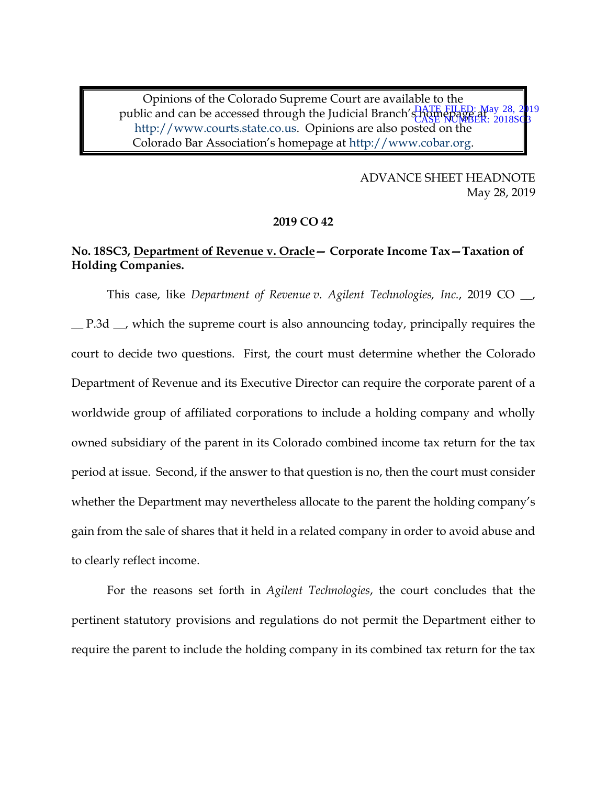Opinions of the Colorado Supreme Court are available to the public and can be accessed through the Judicial Branch's home page at . 2019 http://www.courts.state.co.us. Opinions are also posted on the Colorado Bar Association's homepage at http://www.cobar.org. CASE NUMBER: 2018SCB

> ADVANCE SHEET HEADNOTE May 28, 2019

#### **2019 CO 42**

# **No. 18SC3, Department of Revenue v. Oracle— Corporate Income Tax—Taxation of Holding Companies.**

This case, like *Department of Revenue v. Agilent Technologies, Inc.*, 2019 CO \_\_, \_\_ P.3d \_\_, which the supreme court is also announcing today, principally requires the court to decide two questions. First, the court must determine whether the Colorado Department of Revenue and its Executive Director can require the corporate parent of a worldwide group of affiliated corporations to include a holding company and wholly owned subsidiary of the parent in its Colorado combined income tax return for the tax period at issue. Second, if the answer to that question is no, then the court must consider whether the Department may nevertheless allocate to the parent the holding company's gain from the sale of shares that it held in a related company in order to avoid abuse and to clearly reflect income.

For the reasons set forth in *Agilent Technologies*, the court concludes that the pertinent statutory provisions and regulations do not permit the Department either to require the parent to include the holding company in its combined tax return for the tax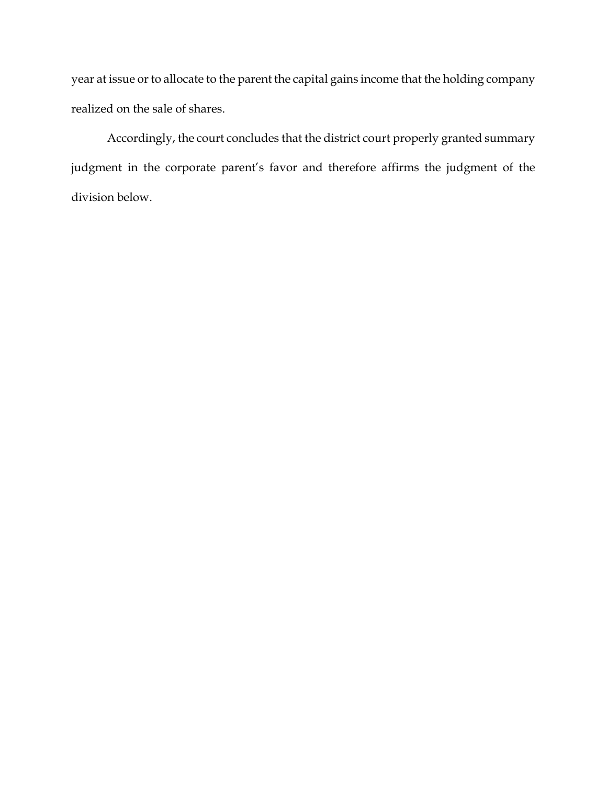year at issue or to allocate to the parent the capital gains income that the holding company realized on the sale of shares.

Accordingly, the court concludes that the district court properly granted summary judgment in the corporate parent's favor and therefore affirms the judgment of the division below.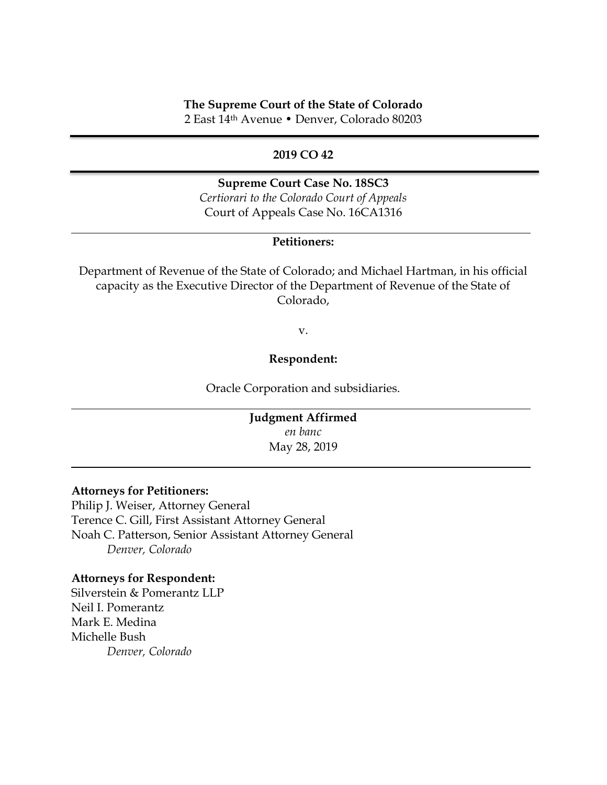#### **The Supreme Court of the State of Colorado**

2 East 14th Avenue • Denver, Colorado 80203

### **2019 CO 42**

### **Supreme Court Case No. 18SC3**

*Certiorari to the Colorado Court of Appeals* Court of Appeals Case No. 16CA1316

### **Petitioners:**

Department of Revenue of the State of Colorado; and Michael Hartman, in his official capacity as the Executive Director of the Department of Revenue of the State of Colorado,

v.

### **Respondent:**

Oracle Corporation and subsidiaries.

**Judgment Affirmed** *en banc* May 28, 2019

### **Attorneys for Petitioners:**

Philip J. Weiser, Attorney General Terence C. Gill, First Assistant Attorney General Noah C. Patterson, Senior Assistant Attorney General *Denver, Colorado* 

### **Attorneys for Respondent:**

Silverstein & Pomerantz LLP Neil I. Pomerantz Mark E. Medina Michelle Bush *Denver, Colorado*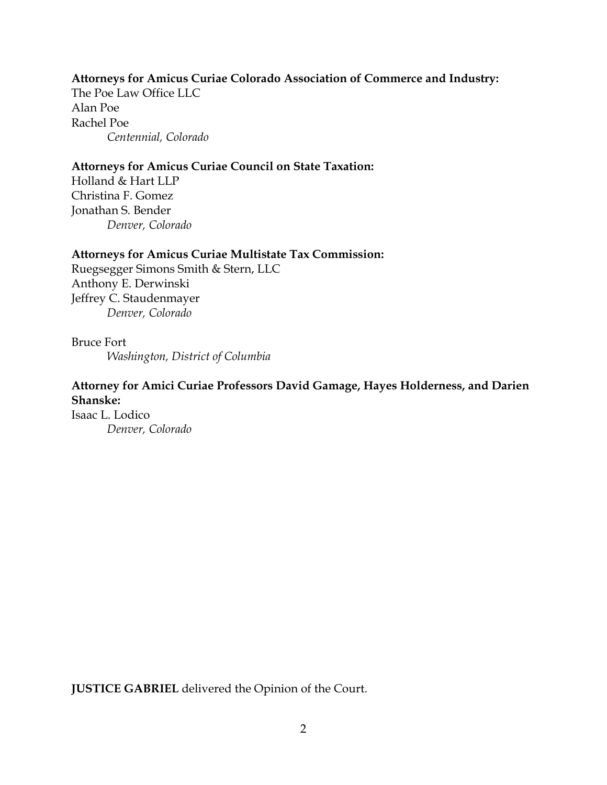# **Attorneys for Amicus Curiae Colorado Association of Commerce and Industry:**

The Poe Law Office LLC Alan Poe Rachel Poe *Centennial, Colorado*

# **Attorneys for Amicus Curiae Council on State Taxation:**

Holland & Hart LLP Christina F. Gomez Jonathan S. Bender *Denver, Colorado*

# **Attorneys for Amicus Curiae Multistate Tax Commission:**

Ruegsegger Simons Smith & Stern, LLC Anthony E. Derwinski Jeffrey C. Staudenmayer *Denver, Colorado*

Bruce Fort *Washington, District of Columbia*

# **Attorney for Amici Curiae Professors David Gamage, Hayes Holderness, and Darien Shanske:**

Isaac L. Lodico *Denver, Colorado*

**JUSTICE GABRIEL** delivered the Opinion of the Court.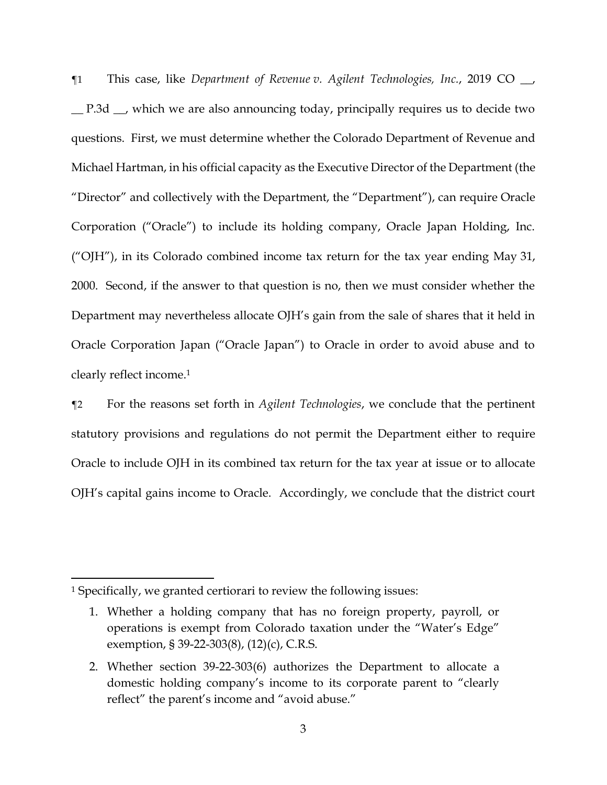¶1 This case, like *Department of Revenue v. Agilent Technologies, Inc.*, 2019 CO \_\_, \_\_ P.3d \_\_, which we are also announcing today, principally requires us to decide two questions. First, we must determine whether the Colorado Department of Revenue and Michael Hartman, in his official capacity as the Executive Director of the Department (the "Director" and collectively with the Department, the "Department"), can require Oracle Corporation ("Oracle") to include its holding company, Oracle Japan Holding, Inc. ("OJH"), in its Colorado combined income tax return for the tax year ending May 31, 2000. Second, if the answer to that question is no, then we must consider whether the Department may nevertheless allocate OJH's gain from the sale of shares that it held in Oracle Corporation Japan ("Oracle Japan") to Oracle in order to avoid abuse and to clearly reflect income. 1

¶2 For the reasons set forth in *Agilent Technologies*, we conclude that the pertinent statutory provisions and regulations do not permit the Department either to require Oracle to include OJH in its combined tax return for the tax year at issue or to allocate OJH's capital gains income to Oracle. Accordingly, we conclude that the district court

 $\overline{\phantom{a}}$ 

<sup>1</sup> Specifically, we granted certiorari to review the following issues:

<sup>1.</sup> Whether a holding company that has no foreign property, payroll, or operations is exempt from Colorado taxation under the "Water's Edge" exemption, § 39-22-303(8), (12)(c), C.R.S.

<sup>2.</sup> Whether section 39-22-303(6) authorizes the Department to allocate a domestic holding company's income to its corporate parent to "clearly reflect" the parent's income and "avoid abuse."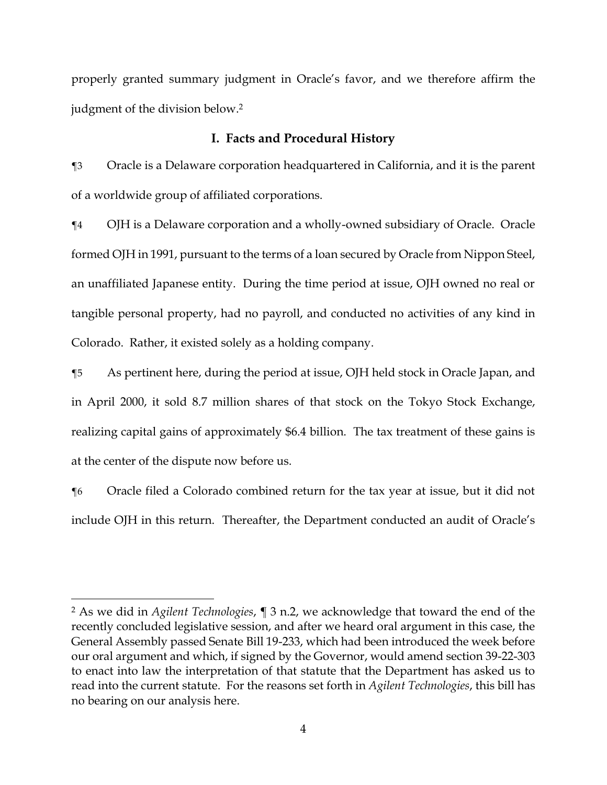properly granted summary judgment in Oracle's favor, and we therefore affirm the judgment of the division below. 2

#### **I. Facts and Procedural History**

¶3 Oracle is a Delaware corporation headquartered in California, and it is the parent of a worldwide group of affiliated corporations.

¶4 OJH is a Delaware corporation and a wholly-owned subsidiary of Oracle. Oracle formed OJH in 1991, pursuant to the terms of a loan secured by Oracle from Nippon Steel, an unaffiliated Japanese entity. During the time period at issue, OJH owned no real or tangible personal property, had no payroll, and conducted no activities of any kind in Colorado. Rather, it existed solely as a holding company.

¶5 As pertinent here, during the period at issue, OJH held stock in Oracle Japan, and in April 2000, it sold 8.7 million shares of that stock on the Tokyo Stock Exchange, realizing capital gains of approximately \$6.4 billion. The tax treatment of these gains is at the center of the dispute now before us.

¶6 Oracle filed a Colorado combined return for the tax year at issue, but it did not include OJH in this return. Thereafter, the Department conducted an audit of Oracle's

 $\overline{a}$ 

<sup>2</sup> As we did in *Agilent Technologies*, ¶ 3 n.2, we acknowledge that toward the end of the recently concluded legislative session, and after we heard oral argument in this case, the General Assembly passed Senate Bill 19-233, which had been introduced the week before our oral argument and which, if signed by the Governor, would amend section 39-22-303 to enact into law the interpretation of that statute that the Department has asked us to read into the current statute. For the reasons set forth in *Agilent Technologies*, this bill has no bearing on our analysis here.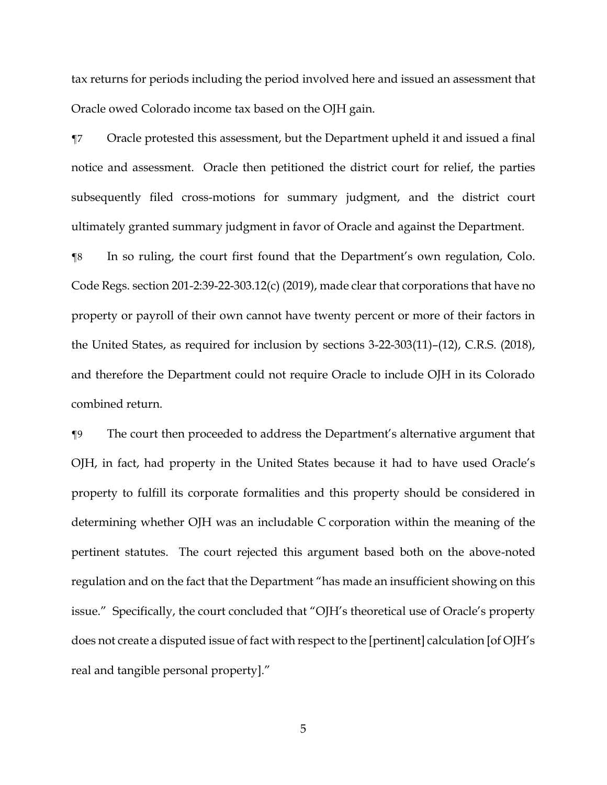tax returns for periods including the period involved here and issued an assessment that Oracle owed Colorado income tax based on the OJH gain.

¶7 Oracle protested this assessment, but the Department upheld it and issued a final notice and assessment. Oracle then petitioned the district court for relief, the parties subsequently filed cross-motions for summary judgment, and the district court ultimately granted summary judgment in favor of Oracle and against the Department.

¶8 In so ruling, the court first found that the Department's own regulation, Colo. Code Regs. section 201-2:39-22-303.12(c) (2019), made clear that corporations that have no property or payroll of their own cannot have twenty percent or more of their factors in the United States, as required for inclusion by sections 3-22-303(11)–(12), C.R.S. (2018), and therefore the Department could not require Oracle to include OJH in its Colorado combined return.

¶9 The court then proceeded to address the Department's alternative argument that OJH, in fact, had property in the United States because it had to have used Oracle's property to fulfill its corporate formalities and this property should be considered in determining whether OJH was an includable C corporation within the meaning of the pertinent statutes. The court rejected this argument based both on the above-noted regulation and on the fact that the Department "has made an insufficient showing on this issue." Specifically, the court concluded that "OJH's theoretical use of Oracle's property does not create a disputed issue of fact with respect to the [pertinent] calculation [of OJH's real and tangible personal property]."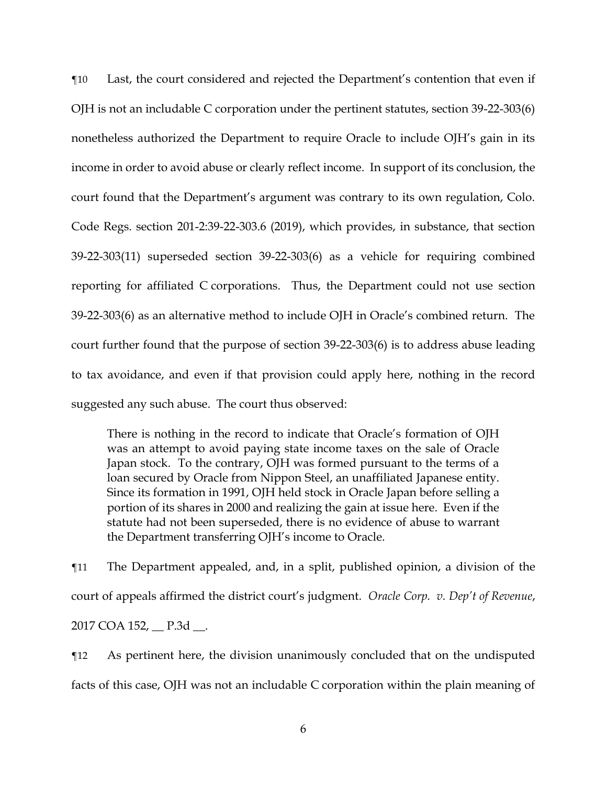¶10 Last, the court considered and rejected the Department's contention that even if OJH is not an includable C corporation under the pertinent statutes, section 39-22-303(6) nonetheless authorized the Department to require Oracle to include OJH's gain in its income in order to avoid abuse or clearly reflect income. In support of its conclusion, the court found that the Department's argument was contrary to its own regulation, Colo. Code Regs. section 201-2:39-22-303.6 (2019), which provides, in substance, that section 39-22-303(11) superseded section 39-22-303(6) as a vehicle for requiring combined reporting for affiliated C corporations. Thus, the Department could not use section 39-22-303(6) as an alternative method to include OJH in Oracle's combined return. The court further found that the purpose of section 39-22-303(6) is to address abuse leading to tax avoidance, and even if that provision could apply here, nothing in the record suggested any such abuse. The court thus observed:

There is nothing in the record to indicate that Oracle's formation of OJH was an attempt to avoid paying state income taxes on the sale of Oracle Japan stock. To the contrary, OJH was formed pursuant to the terms of a loan secured by Oracle from Nippon Steel, an unaffiliated Japanese entity. Since its formation in 1991, OJH held stock in Oracle Japan before selling a portion of its shares in 2000 and realizing the gain at issue here. Even if the statute had not been superseded, there is no evidence of abuse to warrant the Department transferring OJH's income to Oracle.

¶11 The Department appealed, and, in a split, published opinion, a division of the court of appeals affirmed the district court's judgment. *Oracle Corp. v. Dep't of Revenue*, 2017 COA 152, \_\_ P.3d \_\_.

¶12 As pertinent here, the division unanimously concluded that on the undisputed facts of this case, OJH was not an includable C corporation within the plain meaning of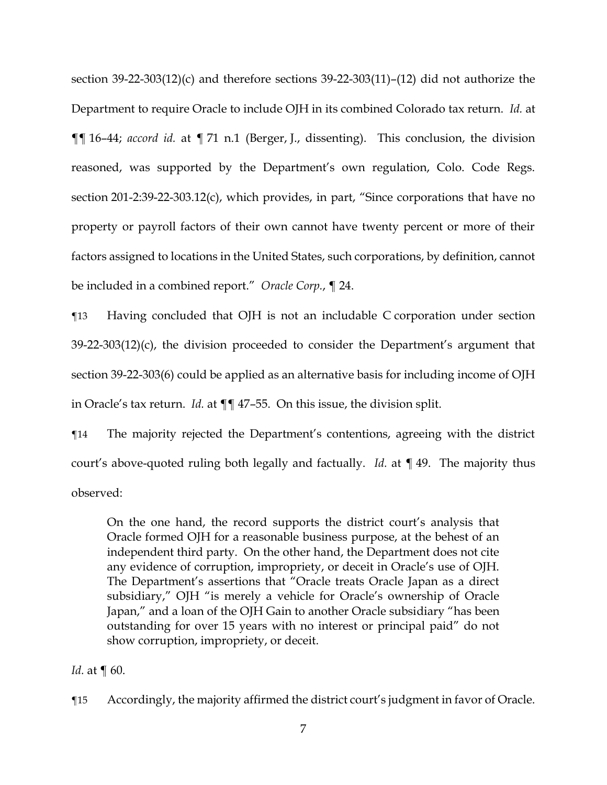section 39-22-303(12)(c) and therefore sections 39-22-303(11)–(12) did not authorize the Department to require Oracle to include OJH in its combined Colorado tax return. *Id.* at ¶¶ 16–44; *accord id.* at ¶ 71 n.1 (Berger, J., dissenting). This conclusion, the division reasoned, was supported by the Department's own regulation, Colo. Code Regs. section 201-2:39-22-303.12(c), which provides, in part, "Since corporations that have no property or payroll factors of their own cannot have twenty percent or more of their factors assigned to locations in the United States, such corporations, by definition, cannot be included in a combined report." *Oracle Corp.*, ¶ 24.

¶13 Having concluded that OJH is not an includable C corporation under section  $39-22-303(12)(c)$ , the division proceeded to consider the Department's argument that section 39-22-303(6) could be applied as an alternative basis for including income of OJH in Oracle's tax return. *Id.* at ¶¶ 47–55. On this issue, the division split.

¶14 The majority rejected the Department's contentions, agreeing with the district court's above-quoted ruling both legally and factually. *Id.* at ¶ 49. The majority thus observed:

On the one hand, the record supports the district court's analysis that Oracle formed OJH for a reasonable business purpose, at the behest of an independent third party. On the other hand, the Department does not cite any evidence of corruption, impropriety, or deceit in Oracle's use of OJH. The Department's assertions that "Oracle treats Oracle Japan as a direct subsidiary," OJH "is merely a vehicle for Oracle's ownership of Oracle Japan," and a loan of the OJH Gain to another Oracle subsidiary "has been outstanding for over 15 years with no interest or principal paid" do not show corruption, impropriety, or deceit.

*Id.* at  $\P$  60.

¶15 Accordingly, the majority affirmed the district court's judgment in favor of Oracle.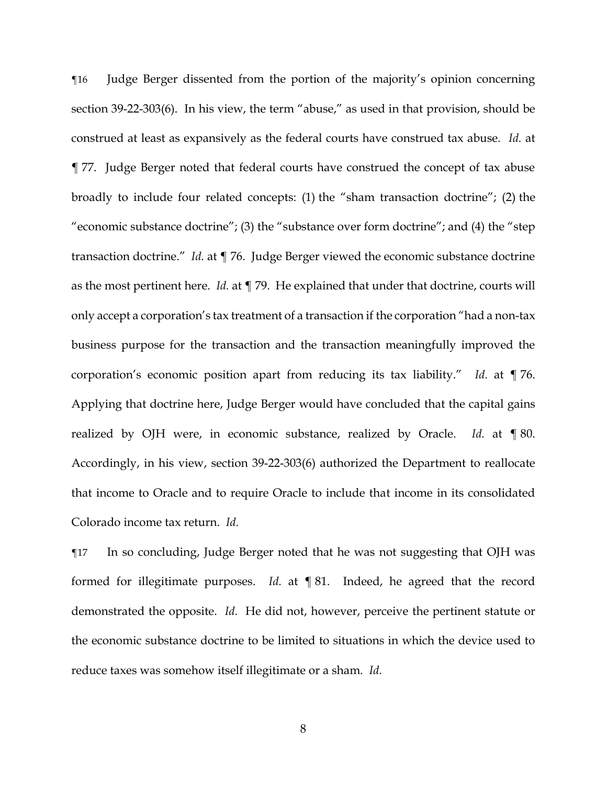¶16 Judge Berger dissented from the portion of the majority's opinion concerning section 39-22-303(6). In his view, the term "abuse," as used in that provision, should be construed at least as expansively as the federal courts have construed tax abuse. *Id.* at ¶ 77. Judge Berger noted that federal courts have construed the concept of tax abuse broadly to include four related concepts: (1) the "sham transaction doctrine"; (2) the "economic substance doctrine"; (3) the "substance over form doctrine"; and (4) the "step transaction doctrine." *Id.* at ¶ 76. Judge Berger viewed the economic substance doctrine as the most pertinent here. *Id.* at ¶ 79. He explained that under that doctrine, courts will only accept a corporation's tax treatment of a transaction if the corporation "had a non-tax business purpose for the transaction and the transaction meaningfully improved the corporation's economic position apart from reducing its tax liability." *Id.* at ¶ 76. Applying that doctrine here, Judge Berger would have concluded that the capital gains realized by OJH were, in economic substance, realized by Oracle. *Id.* at ¶ 80. Accordingly, in his view, section 39-22-303(6) authorized the Department to reallocate that income to Oracle and to require Oracle to include that income in its consolidated Colorado income tax return. *Id.*

¶17 In so concluding, Judge Berger noted that he was not suggesting that OJH was formed for illegitimate purposes. *Id.* at ¶ 81. Indeed, he agreed that the record demonstrated the opposite. *Id.* He did not, however, perceive the pertinent statute or the economic substance doctrine to be limited to situations in which the device used to reduce taxes was somehow itself illegitimate or a sham. *Id.*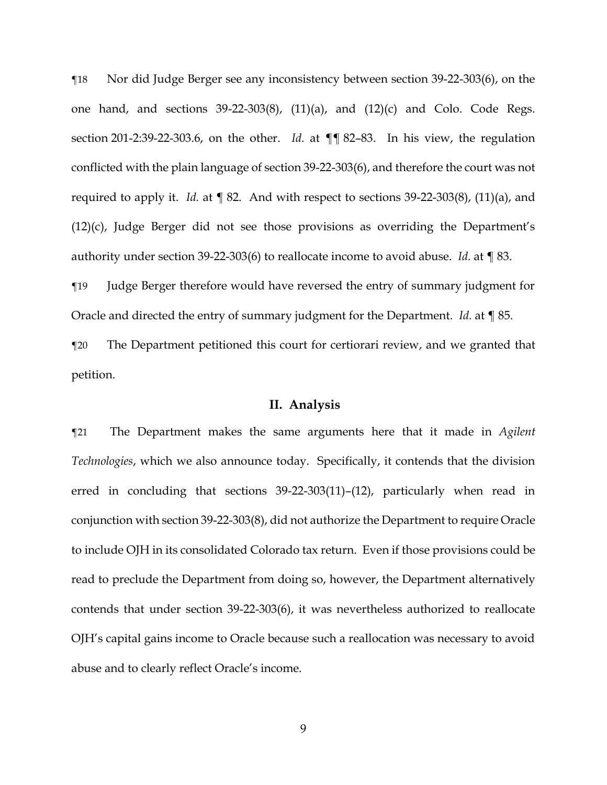¶18 Nor did Judge Berger see any inconsistency between section 39-22-303(6), on the one hand, and sections 39-22-303(8), (11)(a), and (12)(c) and Colo. Code Regs. section 201-2:39-22-303.6, on the other. *Id.* at ¶¶ 82–83. In his view, the regulation conflicted with the plain language of section 39-22-303(6), and therefore the court was not required to apply it. *Id.* at ¶ 82. And with respect to sections 39-22-303(8), (11)(a), and (12)(c), Judge Berger did not see those provisions as overriding the Department's authority under section 39-22-303(6) to reallocate income to avoid abuse. *Id.* at ¶ 83.

¶19 Judge Berger therefore would have reversed the entry of summary judgment for Oracle and directed the entry of summary judgment for the Department. *Id.* at ¶ 85.

¶20 The Department petitioned this court for certiorari review, and we granted that petition.

### **II. Analysis**

¶21 The Department makes the same arguments here that it made in *Agilent Technologies*, which we also announce today. Specifically, it contends that the division erred in concluding that sections 39-22-303(11)–(12), particularly when read in conjunction with section 39-22-303(8), did not authorize the Department to require Oracle to include OJH in its consolidated Colorado tax return. Even if those provisions could be read to preclude the Department from doing so, however, the Department alternatively contends that under section 39-22-303(6), it was nevertheless authorized to reallocate OJH's capital gains income to Oracle because such a reallocation was necessary to avoid abuse and to clearly reflect Oracle's income.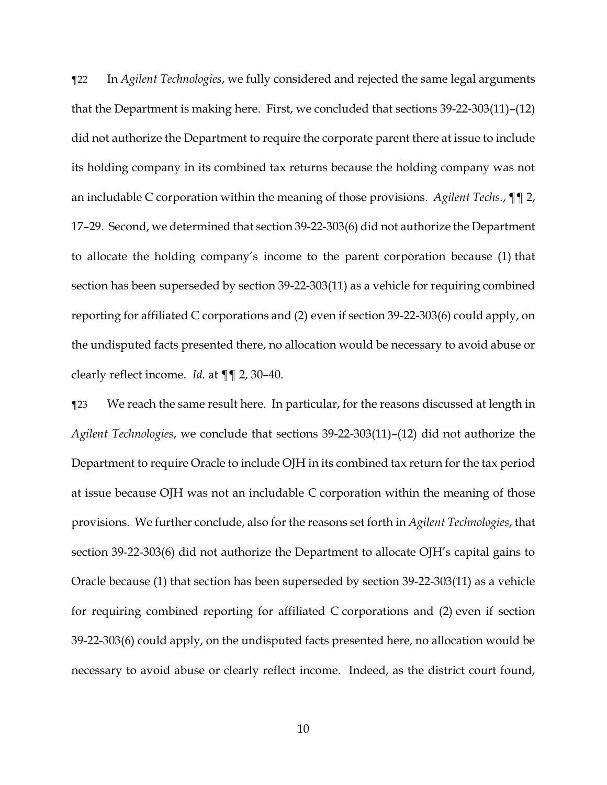¶22 In *Agilent Technologies*, we fully considered and rejected the same legal arguments that the Department is making here. First, we concluded that sections 39-22-303(11)–(12) did not authorize the Department to require the corporate parent there at issue to include its holding company in its combined tax returns because the holding company was not an includable C corporation within the meaning of those provisions. *Agilent Techs.*, ¶¶ 2, 17–29. Second, we determined that section 39-22-303(6) did not authorize the Department to allocate the holding company's income to the parent corporation because (1) that section has been superseded by section 39-22-303(11) as a vehicle for requiring combined reporting for affiliated C corporations and (2) even if section 39-22-303(6) could apply, on the undisputed facts presented there, no allocation would be necessary to avoid abuse or clearly reflect income. *Id.* at ¶¶ 2, 30–40.

¶23 We reach the same result here. In particular, for the reasons discussed at length in *Agilent Technologies*, we conclude that sections 39-22-303(11)–(12) did not authorize the Department to require Oracle to include OJH in its combined tax return for the tax period at issue because OJH was not an includable C corporation within the meaning of those provisions. We further conclude, also for the reasons set forth in *Agilent Technologies*, that section 39-22-303(6) did not authorize the Department to allocate OJH's capital gains to Oracle because (1) that section has been superseded by section 39-22-303(11) as a vehicle for requiring combined reporting for affiliated C corporations and (2) even if section 39-22-303(6) could apply, on the undisputed facts presented here, no allocation would be necessary to avoid abuse or clearly reflect income. Indeed, as the district court found,